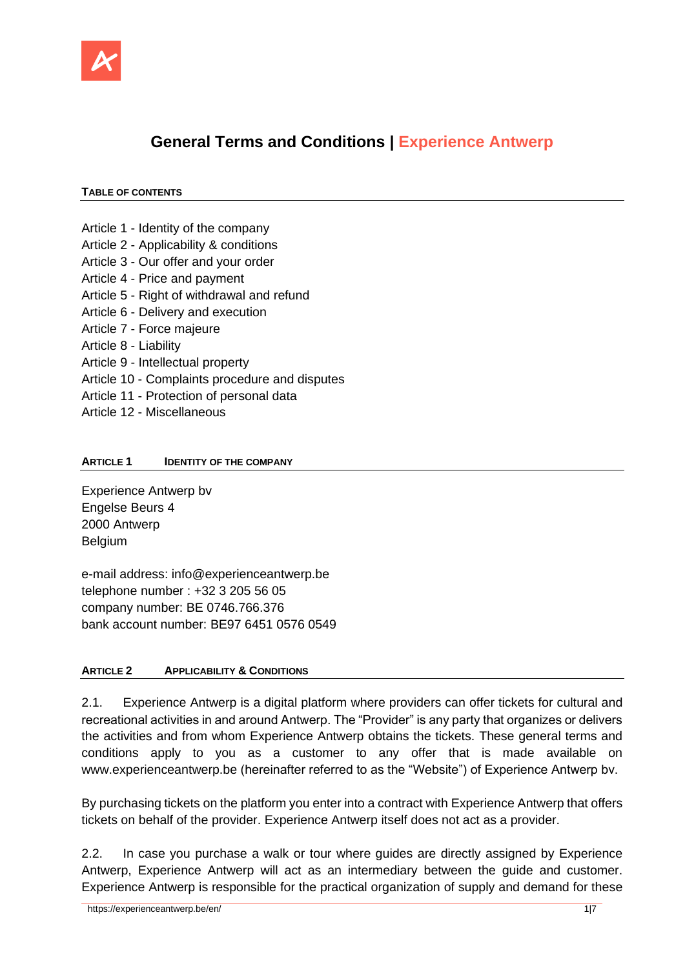

# **General Terms and Conditions | Experience Antwerp**

### **TABLE OF CONTENTS**

- Article 1 Identity of the company
- Article 2 Applicability & conditions
- Article 3 Our offer and your order
- Article 4 Price and payment
- Article 5 Right of withdrawal and refund
- Article 6 Delivery and execution
- Article 7 Force majeure
- Article 8 Liability
- Article 9 Intellectual property
- Article 10 Complaints procedure and disputes
- Article 11 Protection of personal data
- Article 12 Miscellaneous

### **ARTICLE 1 IDENTITY OF THE COMPANY**

Experience Antwerp bv Engelse Beurs 4 2000 Antwerp Belgium

e-mail address: info@experienceantwerp.be telephone number : +32 3 205 56 05 company number: BE 0746.766.376 bank account number: BE97 6451 0576 0549

## **ARTICLE 2 APPLICABILITY & CONDITIONS**

2.1. Experience Antwerp is a digital platform where providers can offer tickets for cultural and recreational activities in and around Antwerp. The "Provider" is any party that organizes or delivers the activities and from whom Experience Antwerp obtains the tickets. These general terms and conditions apply to you as a customer to any offer that is made available on [www.experienceantwerp.be](http://www.experienceabtwerp.be/) (hereinafter referred to as the "Website") of Experience Antwerp bv.

By purchasing tickets on the platform you enter into a contract with Experience Antwerp that offers tickets on behalf of the provider. Experience Antwerp itself does not act as a provider.

2.2. In case you purchase a walk or tour where guides are directly assigned by Experience Antwerp, Experience Antwerp will act as an intermediary between the guide and customer. Experience Antwerp is responsible for the practical organization of supply and demand for these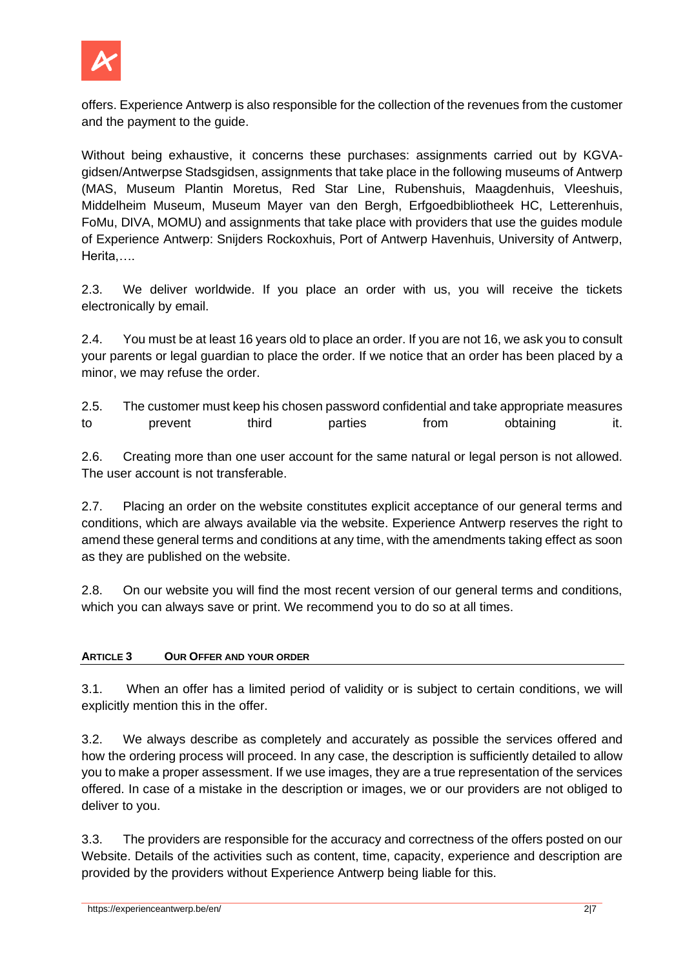

offers. Experience Antwerp is also responsible for the collection of the revenues from the customer and the payment to the guide.

Without being exhaustive, it concerns these purchases: assignments carried out by KGVAgidsen/Antwerpse Stadsgidsen, assignments that take place in the following museums of Antwerp (MAS, Museum Plantin Moretus, Red Star Line, Rubenshuis, Maagdenhuis, Vleeshuis, Middelheim Museum, Museum Mayer van den Bergh, Erfgoedbibliotheek HC, Letterenhuis, FoMu, DIVA, MOMU) and assignments that take place with providers that use the guides module of Experience Antwerp: Snijders Rockoxhuis, Port of Antwerp Havenhuis, University of Antwerp, Herita,….

2.3. We deliver worldwide. If you place an order with us, you will receive the tickets electronically by email.

2.4. You must be at least 16 years old to place an order. If you are not 16, we ask you to consult your parents or legal guardian to place the order. If we notice that an order has been placed by a minor, we may refuse the order.

2.5. The customer must keep his chosen password confidential and take appropriate measures to prevent third parties from obtaining it.

2.6. Creating more than one user account for the same natural or legal person is not allowed. The user account is not transferable.

2.7. Placing an order on the website constitutes explicit acceptance of our general terms and conditions, which are always available via the website. Experience Antwerp reserves the right to amend these general terms and conditions at any time, with the amendments taking effect as soon as they are published on the website.

2.8. On our website you will find the most recent version of our general terms and conditions, which you can always save or print. We recommend you to do so at all times.

## **ARTICLE 3 OUR OFFER AND YOUR ORDER**

3.1. When an offer has a limited period of validity or is subject to certain conditions, we will explicitly mention this in the offer.

3.2. We always describe as completely and accurately as possible the services offered and how the ordering process will proceed. In any case, the description is sufficiently detailed to allow you to make a proper assessment. If we use images, they are a true representation of the services offered. In case of a mistake in the description or images, we or our providers are not obliged to deliver to you.

3.3. The providers are responsible for the accuracy and correctness of the offers posted on our Website. Details of the activities such as content, time, capacity, experience and description are provided by the providers without Experience Antwerp being liable for this.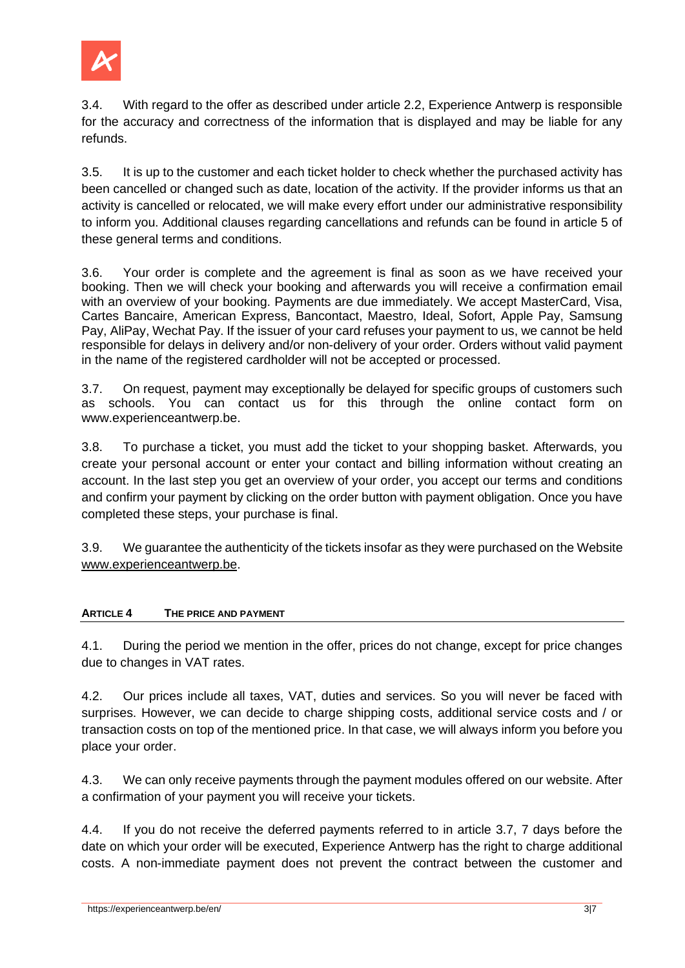

3.4. With regard to the offer as described under article 2.2, Experience Antwerp is responsible for the accuracy and correctness of the information that is displayed and may be liable for any refunds.

3.5. It is up to the customer and each ticket holder to check whether the purchased activity has been cancelled or changed such as date, location of the activity. If the provider informs us that an activity is cancelled or relocated, we will make every effort under our administrative responsibility to inform you. Additional clauses regarding cancellations and refunds can be found in article 5 of these general terms and conditions.

3.6. Your order is complete and the agreement is final as soon as we have received your booking. Then we will check your booking and afterwards you will receive a confirmation email with an overview of your booking. Payments are due immediately. We accept MasterCard, Visa, Cartes Bancaire, American Express, Bancontact, Maestro, Ideal, Sofort, Apple Pay, Samsung Pay, AliPay, Wechat Pay. If the issuer of your card refuses your payment to us, we cannot be held responsible for delays in delivery and/or non-delivery of your order. Orders without valid payment in the name of the registered cardholder will not be accepted or processed.

3.7. On request, payment may exceptionally be delayed for specific groups of customers such as schools. You can contact us for this through the online contact form on [www.experienceantwerp.be.](http://www.experienceantwerp.be/)

3.8. To purchase a ticket, you must add the ticket to your shopping basket. Afterwards, you create your personal account or enter your contact and billing information without creating an account. In the last step you get an overview of your order, you accept our terms and conditions and confirm your payment by clicking on the order button with payment obligation. Once you have completed these steps, your purchase is final.

3.9. We guarantee the authenticity of the tickets insofar as they were purchased on the Website [www.experienceantwerp.be.](http://www.experienceantwerp.be/)

## **ARTICLE 4 THE PRICE AND PAYMENT**

4.1. During the period we mention in the offer, prices do not change, except for price changes due to changes in VAT rates.

4.2. Our prices include all taxes, VAT, duties and services. So you will never be faced with surprises. However, we can decide to charge shipping costs, additional service costs and / or transaction costs on top of the mentioned price. In that case, we will always inform you before you place your order.

4.3. We can only receive payments through the payment modules offered on our website. After a confirmation of your payment you will receive your tickets.

4.4. If you do not receive the deferred payments referred to in article 3.7, 7 days before the date on which your order will be executed, Experience Antwerp has the right to charge additional costs. A non-immediate payment does not prevent the contract between the customer and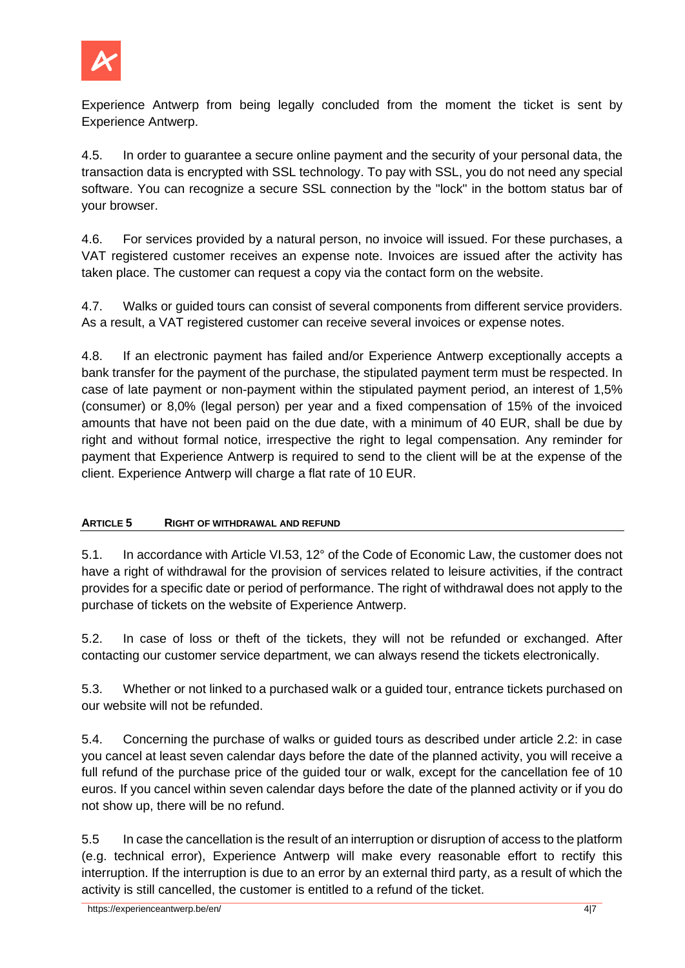

Experience Antwerp from being legally concluded from the moment the ticket is sent by Experience Antwerp.

4.5. In order to guarantee a secure online payment and the security of your personal data, the transaction data is encrypted with SSL technology. To pay with SSL, you do not need any special software. You can recognize a secure SSL connection by the "lock" in the bottom status bar of your browser.

4.6. For services provided by a natural person, no invoice will issued. For these purchases, a VAT registered customer receives an expense note. Invoices are issued after the activity has taken place. The customer can request a copy via the contact form on the website.

4.7. Walks or guided tours can consist of several components from different service providers. As a result, a VAT registered customer can receive several invoices or expense notes.

4.8. If an electronic payment has failed and/or Experience Antwerp exceptionally accepts a bank transfer for the payment of the purchase, the stipulated payment term must be respected. In case of late payment or non-payment within the stipulated payment period, an interest of 1,5% (consumer) or 8,0% (legal person) per year and a fixed compensation of 15% of the invoiced amounts that have not been paid on the due date, with a minimum of 40 EUR, shall be due by right and without formal notice, irrespective the right to legal compensation. Any reminder for payment that Experience Antwerp is required to send to the client will be at the expense of the client. Experience Antwerp will charge a flat rate of 10 EUR.

## **ARTICLE 5 RIGHT OF WITHDRAWAL AND REFUND**

5.1. In accordance with Article VI.53, 12° of the Code of Economic Law, the customer does not have a right of withdrawal for the provision of services related to leisure activities, if the contract provides for a specific date or period of performance. The right of withdrawal does not apply to the purchase of tickets on the website of Experience Antwerp.

5.2. In case of loss or theft of the tickets, they will not be refunded or exchanged. After contacting our customer service department, we can always resend the tickets electronically.

5.3. Whether or not linked to a purchased walk or a guided tour, entrance tickets purchased on our website will not be refunded.

5.4. Concerning the purchase of walks or guided tours as described under article 2.2: in case you cancel at least seven calendar days before the date of the planned activity, you will receive a full refund of the purchase price of the guided tour or walk, except for the cancellation fee of 10 euros. If you cancel within seven calendar days before the date of the planned activity or if you do not show up, there will be no refund.

5.5 In case the cancellation is the result of an interruption or disruption of access to the platform (e.g. technical error), Experience Antwerp will make every reasonable effort to rectify this interruption. If the interruption is due to an error by an external third party, as a result of which the activity is still cancelled, the customer is entitled to a refund of the ticket.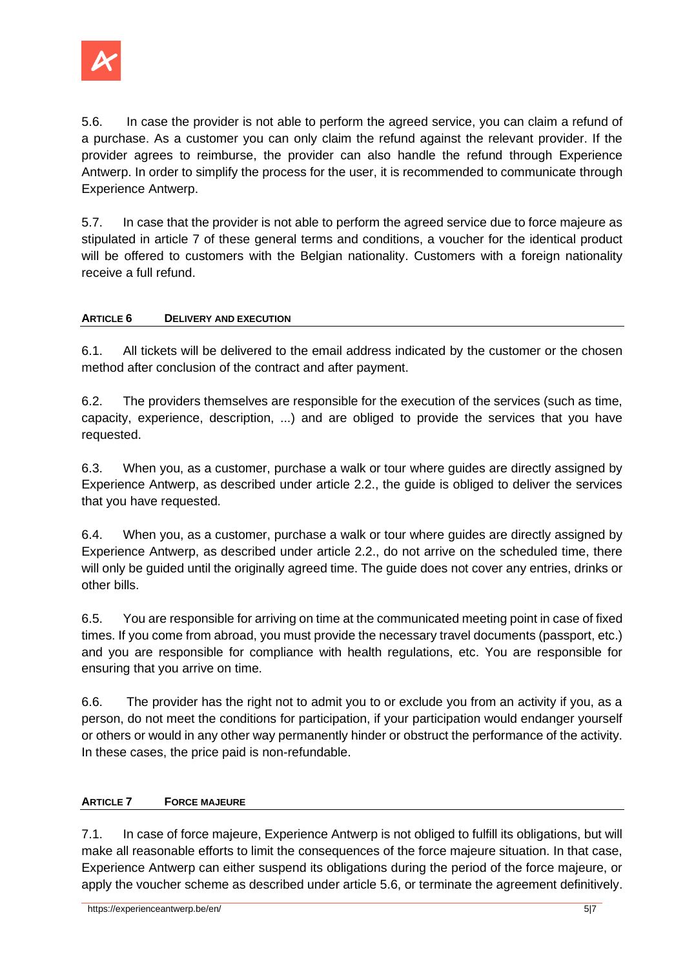

5.6. In case the provider is not able to perform the agreed service, you can claim a refund of a purchase. As a customer you can only claim the refund against the relevant provider. If the provider agrees to reimburse, the provider can also handle the refund through Experience Antwerp. In order to simplify the process for the user, it is recommended to communicate through Experience Antwerp.

5.7. In case that the provider is not able to perform the agreed service due to force majeure as stipulated in article 7 of these general terms and conditions, a voucher for the identical product will be offered to customers with the Belgian nationality. Customers with a foreign nationality receive a full refund.

# **ARTICLE 6 DELIVERY AND EXECUTION**

6.1. All tickets will be delivered to the email address indicated by the customer or the chosen method after conclusion of the contract and after payment.

6.2. The providers themselves are responsible for the execution of the services (such as time, capacity, experience, description, ...) and are obliged to provide the services that you have requested.

6.3. When you, as a customer, purchase a walk or tour where guides are directly assigned by Experience Antwerp, as described under article 2.2., the guide is obliged to deliver the services that you have requested.

6.4. When you, as a customer, purchase a walk or tour where guides are directly assigned by Experience Antwerp, as described under article 2.2., do not arrive on the scheduled time, there will only be guided until the originally agreed time. The guide does not cover any entries, drinks or other bills.

6.5. You are responsible for arriving on time at the communicated meeting point in case of fixed times. If you come from abroad, you must provide the necessary travel documents (passport, etc.) and you are responsible for compliance with health regulations, etc. You are responsible for ensuring that you arrive on time.

6.6. The provider has the right not to admit you to or exclude you from an activity if you, as a person, do not meet the conditions for participation, if your participation would endanger yourself or others or would in any other way permanently hinder or obstruct the performance of the activity. In these cases, the price paid is non-refundable.

## **ARTICLE 7 FORCE MAJEURE**

7.1. In case of force majeure, Experience Antwerp is not obliged to fulfill its obligations, but will make all reasonable efforts to limit the consequences of the force majeure situation. In that case, Experience Antwerp can either suspend its obligations during the period of the force majeure, or apply the voucher scheme as described under article 5.6, or terminate the agreement definitively.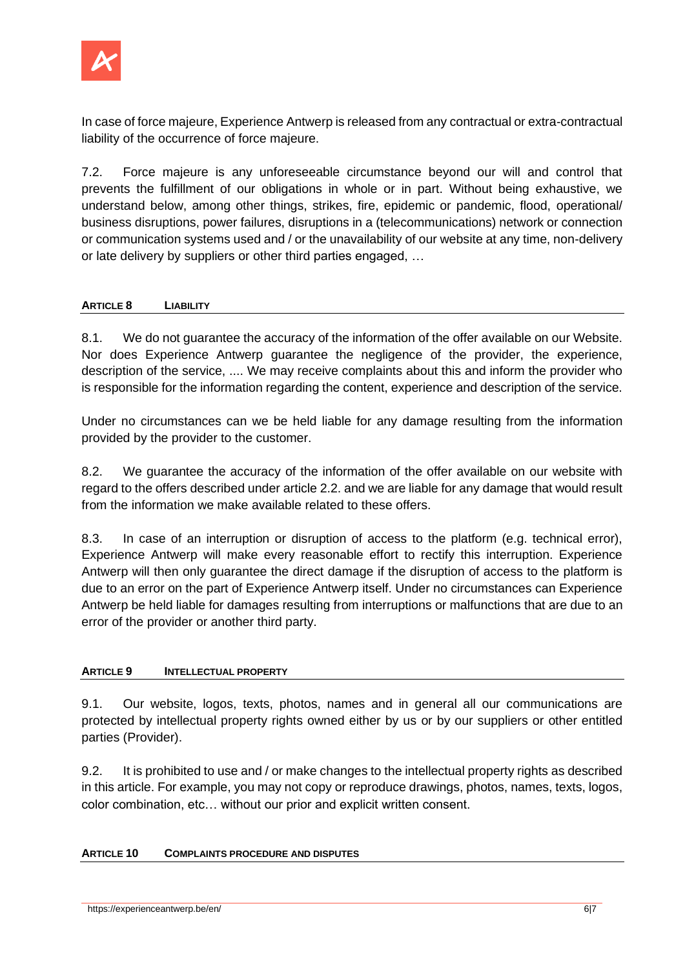

In case of force majeure, Experience Antwerp is released from any contractual or extra-contractual liability of the occurrence of force majeure.

7.2. Force majeure is any unforeseeable circumstance beyond our will and control that prevents the fulfillment of our obligations in whole or in part. Without being exhaustive, we understand below, among other things, strikes, fire, epidemic or pandemic, flood, operational/ business disruptions, power failures, disruptions in a (telecommunications) network or connection or communication systems used and / or the unavailability of our website at any time, non-delivery or late delivery by suppliers or other third parties engaged, …

## **ARTICLE 8 LIABILITY**

8.1. We do not guarantee the accuracy of the information of the offer available on our Website. Nor does Experience Antwerp guarantee the negligence of the provider, the experience, description of the service, .... We may receive complaints about this and inform the provider who is responsible for the information regarding the content, experience and description of the service.

Under no circumstances can we be held liable for any damage resulting from the information provided by the provider to the customer.

8.2. We guarantee the accuracy of the information of the offer available on our website with regard to the offers described under article 2.2. and we are liable for any damage that would result from the information we make available related to these offers.

8.3. In case of an interruption or disruption of access to the platform (e.g. technical error), Experience Antwerp will make every reasonable effort to rectify this interruption. Experience Antwerp will then only guarantee the direct damage if the disruption of access to the platform is due to an error on the part of Experience Antwerp itself. Under no circumstances can Experience Antwerp be held liable for damages resulting from interruptions or malfunctions that are due to an error of the provider or another third party.

## **ARTICLE 9 INTELLECTUAL PROPERTY**

9.1. Our website, logos, texts, photos, names and in general all our communications are protected by intellectual property rights owned either by us or by our suppliers or other entitled parties (Provider).

9.2. It is prohibited to use and / or make changes to the intellectual property rights as described in this article. For example, you may not copy or reproduce drawings, photos, names, texts, logos, color combination, etc… without our prior and explicit written consent.

## **ARTICLE 10 COMPLAINTS PROCEDURE AND DISPUTES**